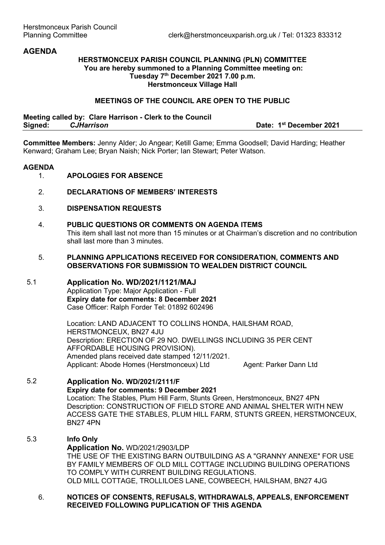# **AGENDA**

### **HERSTMONCEUX PARISH COUNCIL PLANNING (PLN) COMMITTEE You are hereby summoned to a Planning Committee meeting on: Tuesday 7th December 2021 7.00 p.m. Herstmonceux Village Hall**

#### **MEETINGS OF THE COUNCIL ARE OPEN TO THE PUBLIC**

**Meeting called by: Clare Harrison - Clerk to the Council Signed:** *CJHarrison* **Date: 1st December 2021**

**Committee Members:** Jenny Alder; Jo Angear; Ketill Game; Emma Goodsell; David Harding; Heather Kenward; Graham Lee; Bryan Naish; Nick Porter; Ian Stewart; Peter Watson.

#### **AGENDA**

- 1. **APOLOGIES FOR ABSENCE**
- 2. **DECLARATIONS OF MEMBERS' INTERESTS**
- 3. **DISPENSATION REQUESTS**

# 4. **PUBLIC QUESTIONS OR COMMENTS ON AGENDA ITEMS**

This item shall last not more than 15 minutes or at Chairman's discretion and no contribution shall last more than 3 minutes.

#### 5. **PLANNING APPLICATIONS RECEIVED FOR CONSIDERATION, COMMENTS AND OBSERVATIONS FOR SUBMISSION TO WEALDEN DISTRICT COUNCIL**

### 5.1 **Application No. WD/2021/1121/MAJ**

Application Type: Major Application - Full **Expiry date for comments: 8 December 2021**  Case Officer: Ralph Forder Tel: 01892 602496

Location: LAND ADJACENT TO COLLINS HONDA, HAILSHAM ROAD, HERSTMONCEUX, BN27 4JU Description: ERECTION OF 29 NO. DWELLINGS INCLUDING 35 PER CENT AFFORDABLE HOUSING PROVISION). Amended plans received date stamped 12/11/2021. Applicant: Abode Homes (Herstmonceux) Ltd Agent: Parker Dann Ltd

#### 5.2 **Application No. WD/2021/2111/F Expiry date for comments: 9 December 2021**  Location: The Stables, Plum Hill Farm, Stunts Green, Herstmonceux, BN27 4PN Description: CONSTRUCTION OF FIELD STORE AND ANIMAL SHELTER WITH NEW ACCESS GATE THE STABLES, PLUM HILL FARM, STUNTS GREEN, HERSTMONCEUX, BN27 4PN

# 5.3 **Info Only Application No.** WD/2021/2903/LDP THE USE OF THE EXISTING BARN OUTBUILDING AS A "GRANNY ANNEXE" FOR USE BY FAMILY MEMBERS OF OLD MILL COTTAGE INCLUDING BUILDING OPERATIONS TO COMPLY WITH CURRENT BUILDING REGULATIONS. OLD MILL COTTAGE, TROLLILOES LANE, COWBEECH, HAILSHAM, BN27 4JG

### 6. **NOTICES OF CONSENTS, REFUSALS, WITHDRAWALS, APPEALS, ENFORCEMENT RECEIVED FOLLOWING PUPLICATION OF THIS AGENDA**